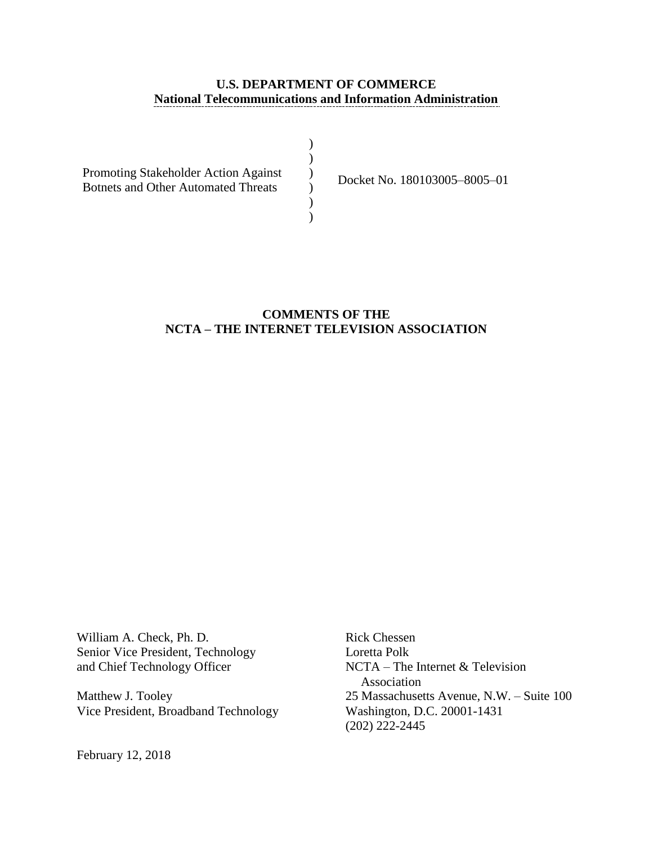### **U.S. DEPARTMENT OF COMMERCE National Telecommunications and Information Administration**

| Promoting Stakeholder Action Against       |  |
|--------------------------------------------|--|
| <b>Botnets and Other Automated Threats</b> |  |
|                                            |  |
|                                            |  |

Docket No. 180103005–8005–01

### **COMMENTS OF THE NCTA – THE INTERNET TELEVISION ASSOCIATION**

William A. Check, Ph. D. Rick Chessen Senior Vice President, Technology Loretta Polk<br>and Chief Technology Officer MCTA – The

Vice President, Broadband Technology

February 12, 2018

 $NCTA$  – The Internet & Television Association Matthew J. Tooley<br>
Vice President, Broadband Technology<br>
Washington, D.C. 20001-1431 (202) 222-2445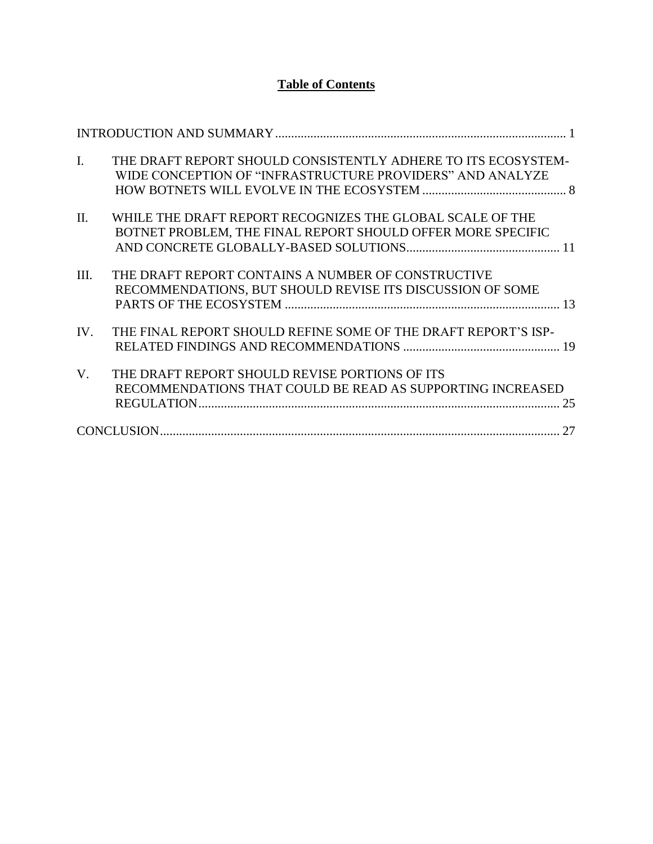# **Table of Contents**

| $\mathbf{I}$ . | THE DRAFT REPORT SHOULD CONSISTENTLY ADHERE TO ITS ECOSYSTEM-<br>WIDE CONCEPTION OF "INFRASTRUCTURE PROVIDERS" AND ANALYZE |
|----------------|----------------------------------------------------------------------------------------------------------------------------|
| $\Pi$ .        | WHILE THE DRAFT REPORT RECOGNIZES THE GLOBAL SCALE OF THE<br>BOTNET PROBLEM, THE FINAL REPORT SHOULD OFFER MORE SPECIFIC   |
| III.           | THE DRAFT REPORT CONTAINS A NUMBER OF CONSTRUCTIVE<br>RECOMMENDATIONS, BUT SHOULD REVISE ITS DISCUSSION OF SOME            |
| IV.            | THE FINAL REPORT SHOULD REFINE SOME OF THE DRAFT REPORT'S ISP-                                                             |
| V.             | THE DRAFT REPORT SHOULD REVISE PORTIONS OF ITS<br>RECOMMENDATIONS THAT COULD BE READ AS SUPPORTING INCREASED               |
|                |                                                                                                                            |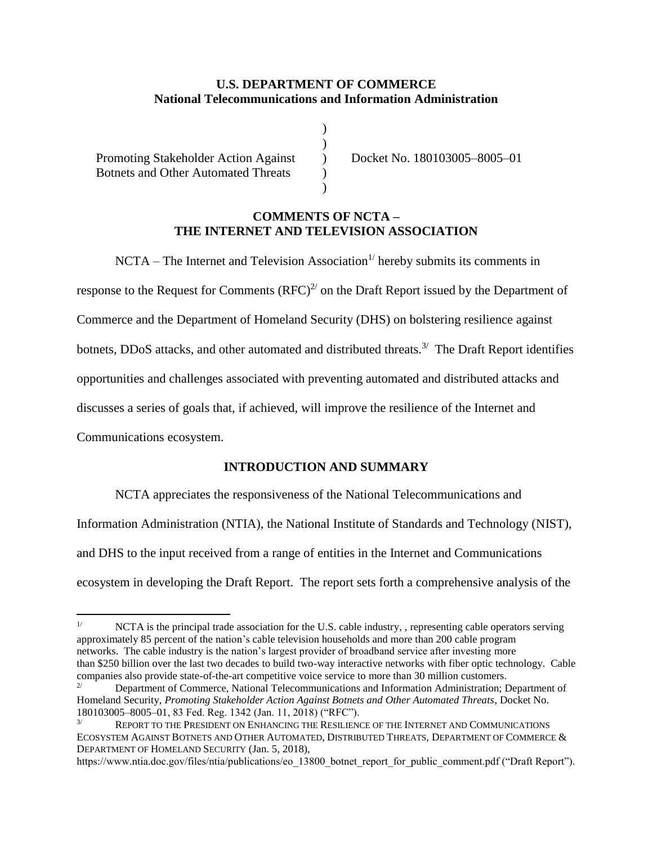### **U.S. DEPARTMENT OF COMMERCE National Telecommunications and Information Administration**

) )  $\lambda$  $\lambda$  $\mathcal{L}$ 

Promoting Stakeholder Action Against Botnets and Other Automated Threats

 $\overline{a}$ 

Docket No. 180103005–8005–01

#### **COMMENTS OF NCTA – THE INTERNET AND TELEVISION ASSOCIATION**

 $NCTA$  – The Internet and Television Association<sup>1/</sup> hereby submits its comments in response to the Request for Comments  $(RFC)^{2/2}$  on the Draft Report issued by the Department of Commerce and the Department of Homeland Security (DHS) on bolstering resilience against botnets, DDoS attacks, and other automated and distributed threats.<sup>3/</sup> The Draft Report identifies opportunities and challenges associated with preventing automated and distributed attacks and discusses a series of goals that, if achieved, will improve the resilience of the Internet and Communications ecosystem.

## **INTRODUCTION AND SUMMARY**

NCTA appreciates the responsiveness of the National Telecommunications and Information Administration (NTIA), the National Institute of Standards and Technology (NIST), and DHS to the input received from a range of entities in the Internet and Communications ecosystem in developing the Draft Report. The report sets forth a comprehensive analysis of the

https://www.ntia.doc.gov/files/ntia/publications/eo\_13800\_botnet\_report\_for\_public\_comment.pdf ("Draft Report").

<sup>&</sup>lt;sup>1/</sup> NCTA is the principal trade association for the U.S. cable industry, , representing cable operators serving approximately 85 percent of the nation's cable television households and more than 200 cable program networks. The cable industry is the nation's largest provider of broadband service after investing more than \$250 billion over the last two decades to build two-way interactive networks with fiber optic technology. Cable companies also provide state-of-the-art competitive voice service to more than 30 million customers.

<sup>2/</sup> Department of Commerce, National Telecommunications and Information Administration; Department of Homeland Security, *Promoting Stakeholder Action Against Botnets and Other Automated Threats*, Docket No. 180103005–8005–01, 83 Fed. Reg. 1342 (Jan. 11, 2018) ("RFC").

 $3/$  REPORT TO THE PRESIDENT ON ENHANCING THE RESILIENCE OF THE INTERNET AND COMMUNICATIONS ECOSYSTEM AGAINST BOTNETS AND OTHER AUTOMATED, DISTRIBUTED THREATS, DEPARTMENT OF COMMERCE & DEPARTMENT OF HOMELAND SECURITY (Jan. 5, 2018),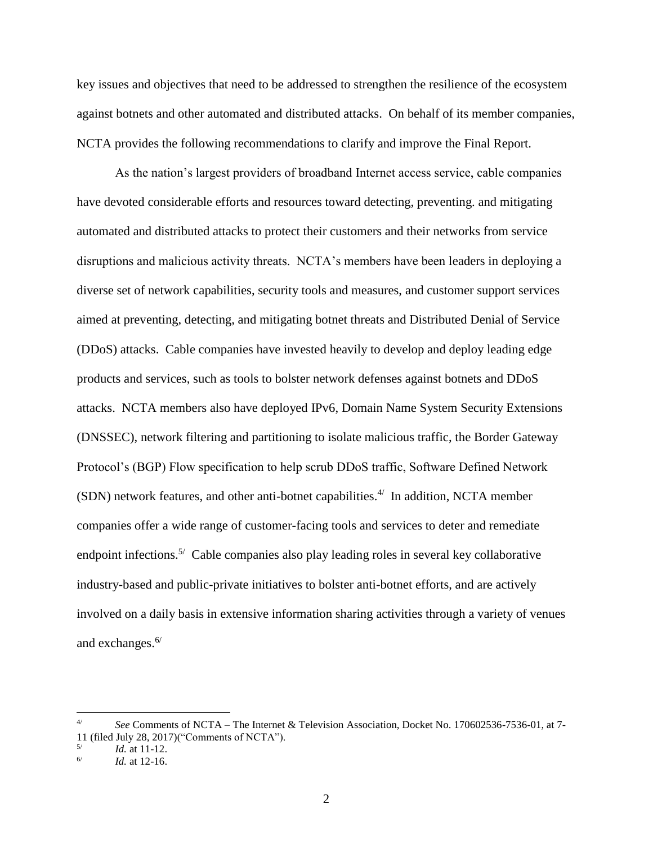key issues and objectives that need to be addressed to strengthen the resilience of the ecosystem against botnets and other automated and distributed attacks. On behalf of its member companies, NCTA provides the following recommendations to clarify and improve the Final Report.

As the nation's largest providers of broadband Internet access service, cable companies have devoted considerable efforts and resources toward detecting, preventing. and mitigating automated and distributed attacks to protect their customers and their networks from service disruptions and malicious activity threats. NCTA's members have been leaders in deploying a diverse set of network capabilities, security tools and measures, and customer support services aimed at preventing, detecting, and mitigating botnet threats and Distributed Denial of Service (DDoS) attacks. Cable companies have invested heavily to develop and deploy leading edge products and services, such as tools to bolster network defenses against botnets and DDoS attacks. NCTA members also have deployed IPv6, Domain Name System Security Extensions (DNSSEC), network filtering and partitioning to isolate malicious traffic, the Border Gateway Protocol's (BGP) Flow specification to help scrub DDoS traffic, Software Defined Network  $(SDN)$  network features, and other anti-botnet capabilities.<sup>4/</sup> In addition, NCTA member companies offer a wide range of customer-facing tools and services to deter and remediate endpoint infections.<sup>5/</sup> Cable companies also play leading roles in several key collaborative industry-based and public-private initiatives to bolster anti-botnet efforts, and are actively involved on a daily basis in extensive information sharing activities through a variety of venues and exchanges.<sup>6/</sup>

<sup>4/</sup> *See* Comments of NCTA – The Internet & Television Association, Docket No. 170602536-7536-01, at 7- 11 (filed July 28, 2017)("Comments of NCTA").

<sup>5/</sup> *Id.* at 11-12.

<sup>6/</sup> *Id.* at 12-16.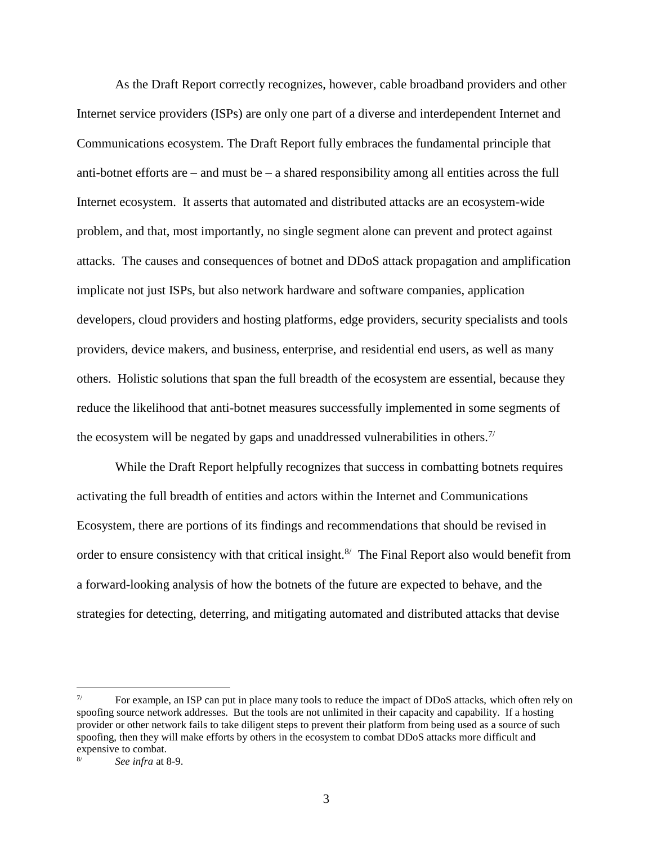As the Draft Report correctly recognizes, however, cable broadband providers and other Internet service providers (ISPs) are only one part of a diverse and interdependent Internet and Communications ecosystem. The Draft Report fully embraces the fundamental principle that anti-botnet efforts are  $-$  and must be  $-$  a shared responsibility among all entities across the full Internet ecosystem. It asserts that automated and distributed attacks are an ecosystem-wide problem, and that, most importantly, no single segment alone can prevent and protect against attacks. The causes and consequences of botnet and DDoS attack propagation and amplification implicate not just ISPs, but also network hardware and software companies, application developers, cloud providers and hosting platforms, edge providers, security specialists and tools providers, device makers, and business, enterprise, and residential end users, as well as many others. Holistic solutions that span the full breadth of the ecosystem are essential, because they reduce the likelihood that anti-botnet measures successfully implemented in some segments of the ecosystem will be negated by gaps and unaddressed vulnerabilities in others.<sup>7/</sup>

While the Draft Report helpfully recognizes that success in combatting botnets requires activating the full breadth of entities and actors within the Internet and Communications Ecosystem, there are portions of its findings and recommendations that should be revised in order to ensure consistency with that critical insight. $8'$  The Final Report also would benefit from a forward-looking analysis of how the botnets of the future are expected to behave, and the strategies for detecting, deterring, and mitigating automated and distributed attacks that devise

 $7/$ For example, an ISP can put in place many tools to reduce the impact of DDoS attacks, which often rely on spoofing source network addresses. But the tools are not unlimited in their capacity and capability. If a hosting provider or other network fails to take diligent steps to prevent their platform from being used as a source of such spoofing, then they will make efforts by others in the ecosystem to combat DDoS attacks more difficult and expensive to combat.

See infra at 8-9.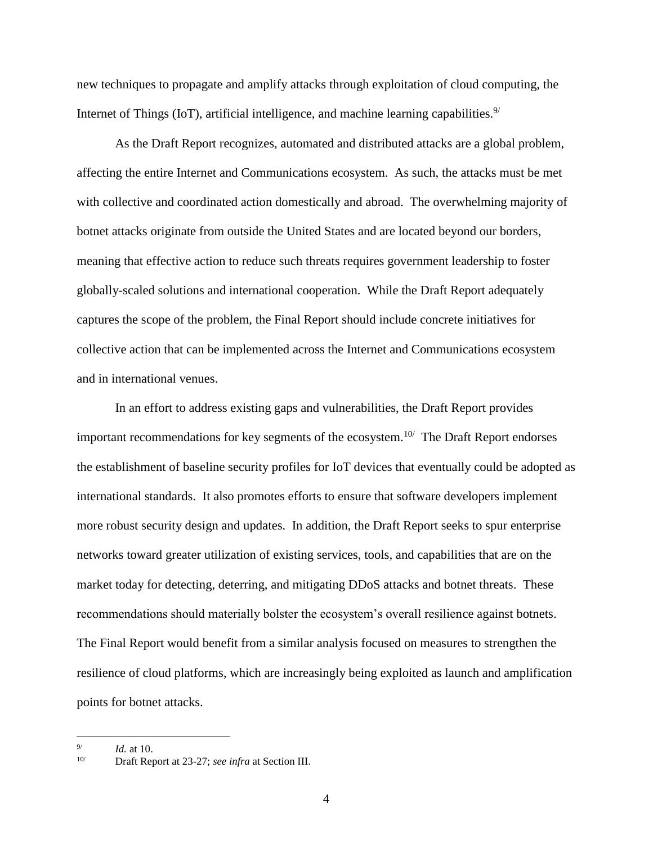new techniques to propagate and amplify attacks through exploitation of cloud computing, the Internet of Things (IoT), artificial intelligence, and machine learning capabilities. $9/$ 

As the Draft Report recognizes, automated and distributed attacks are a global problem, affecting the entire Internet and Communications ecosystem. As such, the attacks must be met with collective and coordinated action domestically and abroad. The overwhelming majority of botnet attacks originate from outside the United States and are located beyond our borders, meaning that effective action to reduce such threats requires government leadership to foster globally-scaled solutions and international cooperation. While the Draft Report adequately captures the scope of the problem, the Final Report should include concrete initiatives for collective action that can be implemented across the Internet and Communications ecosystem and in international venues.

In an effort to address existing gaps and vulnerabilities, the Draft Report provides important recommendations for key segments of the ecosystem.<sup>10/</sup> The Draft Report endorses the establishment of baseline security profiles for IoT devices that eventually could be adopted as international standards. It also promotes efforts to ensure that software developers implement more robust security design and updates. In addition, the Draft Report seeks to spur enterprise networks toward greater utilization of existing services, tools, and capabilities that are on the market today for detecting, deterring, and mitigating DDoS attacks and botnet threats. These recommendations should materially bolster the ecosystem's overall resilience against botnets. The Final Report would benefit from a similar analysis focused on measures to strengthen the resilience of cloud platforms, which are increasingly being exploited as launch and amplification points for botnet attacks.

 9/ *Id.* at 10.

<sup>10/</sup> Draft Report at 23-27; *see infra* at Section III.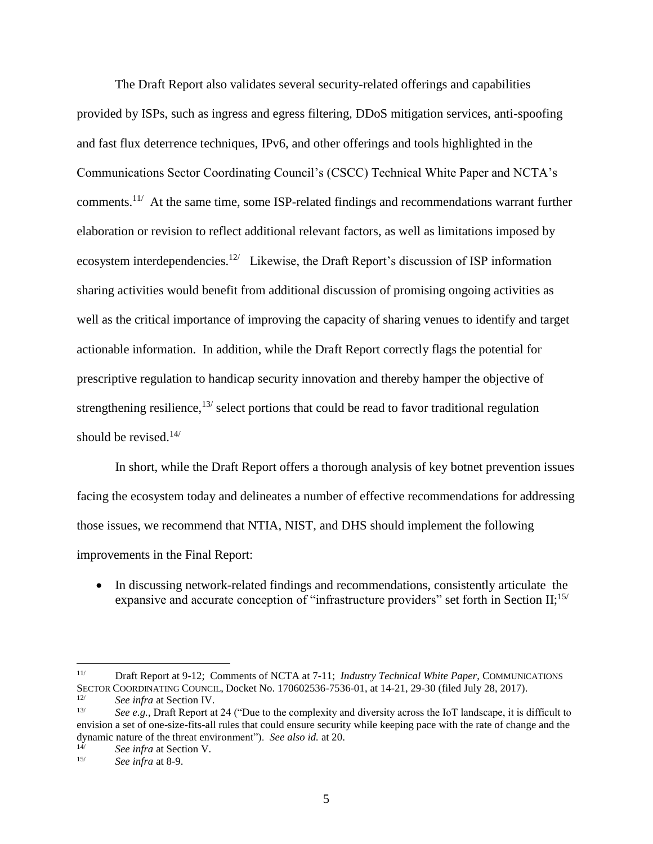The Draft Report also validates several security-related offerings and capabilities provided by ISPs, such as ingress and egress filtering, DDoS mitigation services, anti-spoofing and fast flux deterrence techniques, IPv6, and other offerings and tools highlighted in the Communications Sector Coordinating Council's (CSCC) Technical White Paper and NCTA's comments.<sup>11/</sup> At the same time, some ISP-related findings and recommendations warrant further elaboration or revision to reflect additional relevant factors, as well as limitations imposed by ecosystem interdependencies.<sup>12/</sup> Likewise, the Draft Report's discussion of ISP information sharing activities would benefit from additional discussion of promising ongoing activities as well as the critical importance of improving the capacity of sharing venues to identify and target actionable information. In addition, while the Draft Report correctly flags the potential for prescriptive regulation to handicap security innovation and thereby hamper the objective of strengthening resilience,<sup>13/</sup> select portions that could be read to favor traditional regulation should be revised.<sup>14/</sup>

In short, while the Draft Report offers a thorough analysis of key botnet prevention issues facing the ecosystem today and delineates a number of effective recommendations for addressing those issues, we recommend that NTIA, NIST, and DHS should implement the following improvements in the Final Report:

• In discussing network-related findings and recommendations, consistently articulate the expansive and accurate conception of "infrastructure providers" set forth in Section II;<sup>15/</sup>

 $11/$ 11/ Draft Report at 9-12; Comments of NCTA at 7-11; *Industry Technical White Paper*, COMMUNICATIONS SECTOR COORDINATING COUNCIL, Docket No. 170602536-7536-01, at 14-21, 29-30 (filed July 28, 2017).

<sup>&</sup>lt;sup>12/</sup> *See infra* at Section IV.<br><sup>13/</sup> *See a.g.* Draft Banant at

See e.g., Draft Report at 24 ("Due to the complexity and diversity across the IoT landscape, it is difficult to envision a set of one-size-fits-all rules that could ensure security while keeping pace with the rate of change and the dynamic nature of the threat environment"). *See also id.* at 20.

<sup>&</sup>lt;sup>14/</sup> *See infra* at Section V.<br><sup>15/</sup> *See infra* at 8.9

See infra at 8-9.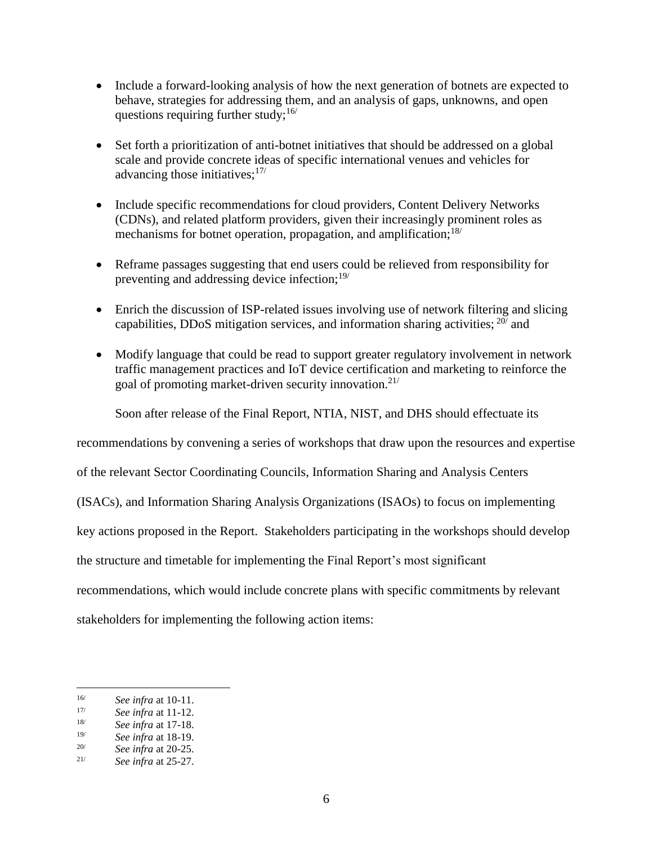- Include a forward-looking analysis of how the next generation of botnets are expected to behave, strategies for addressing them, and an analysis of gaps, unknowns, and open questions requiring further study;  $16/$
- Set forth a prioritization of anti-botnet initiatives that should be addressed on a global scale and provide concrete ideas of specific international venues and vehicles for advancing those initiatives; $17/$
- Include specific recommendations for cloud providers, Content Delivery Networks (CDNs), and related platform providers, given their increasingly prominent roles as mechanisms for botnet operation, propagation, and amplification;<sup>18/</sup>
- Reframe passages suggesting that end users could be relieved from responsibility for preventing and addressing device infection;19/
- Enrich the discussion of ISP-related issues involving use of network filtering and slicing capabilities, DDoS mitigation services, and information sharing activities;  $20/$  and
- Modify language that could be read to support greater regulatory involvement in network traffic management practices and IoT device certification and marketing to reinforce the goal of promoting market-driven security innovation. $2^{1/2}$

Soon after release of the Final Report, NTIA, NIST, and DHS should effectuate its

recommendations by convening a series of workshops that draw upon the resources and expertise

of the relevant Sector Coordinating Councils, Information Sharing and Analysis Centers

(ISACs), and Information Sharing Analysis Organizations (ISAOs) to focus on implementing

key actions proposed in the Report. Stakeholders participating in the workshops should develop

the structure and timetable for implementing the Final Report's most significant

recommendations, which would include concrete plans with specific commitments by relevant

stakeholders for implementing the following action items:

 $16/$ <sup>16/</sup> *See infra* at 10-11.<br><sup>17/</sup> *See infra* at 11.12

<sup>&</sup>lt;sup>17/</sup> *See infra* at 11-12.<br><sup>18/</sup> *See infra* at 17-18

<sup>18/</sup> *See infra* at 17-18.

<sup>19/</sup> *See infra* at 18-19.

<sup>&</sup>lt;sup>20/</sup> *See infra at 20-25.*<br><sup>21/</sup> *See infra at 25-27* 

<sup>21/</sup> *See infra* at 25-27.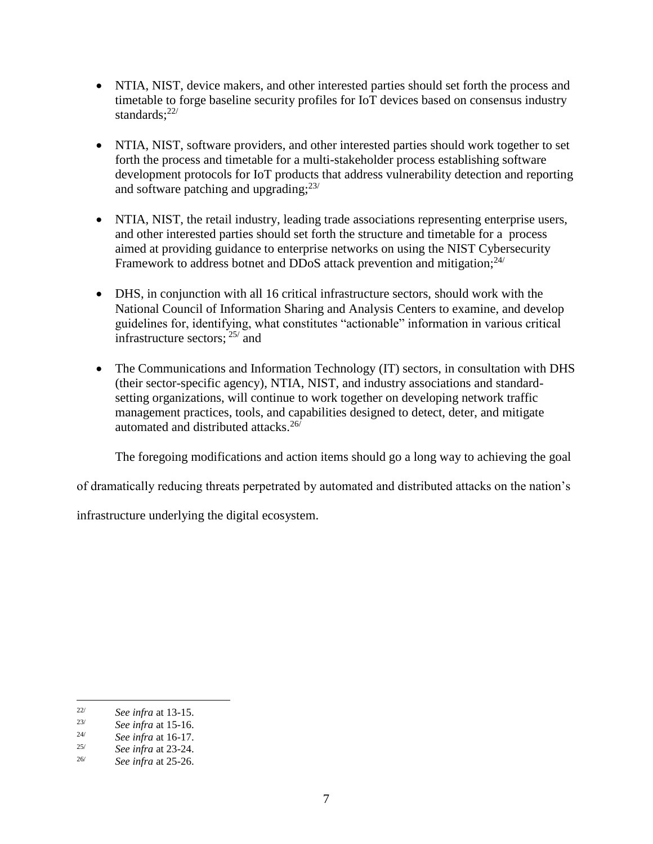- NTIA, NIST, device makers, and other interested parties should set forth the process and timetable to forge baseline security profiles for IoT devices based on consensus industry standards: $22/$
- NTIA, NIST, software providers, and other interested parties should work together to set forth the process and timetable for a multi-stakeholder process establishing software development protocols for IoT products that address vulnerability detection and reporting and software patching and upgrading;<sup>23/</sup>
- NTIA, NIST, the retail industry, leading trade associations representing enterprise users, and other interested parties should set forth the structure and timetable for a process aimed at providing guidance to enterprise networks on using the NIST Cybersecurity Framework to address botnet and DDoS attack prevention and mitigation;<sup>24/</sup>
- DHS, in conjunction with all 16 critical infrastructure sectors, should work with the National Council of Information Sharing and Analysis Centers to examine, and develop guidelines for, identifying, what constitutes "actionable" information in various critical infrastructure sectors; 25/ and
- The Communications and Information Technology (IT) sectors, in consultation with DHS (their sector-specific agency), NTIA, NIST, and industry associations and standardsetting organizations, will continue to work together on developing network traffic management practices, tools, and capabilities designed to detect, deter, and mitigate automated and distributed attacks.26/

The foregoing modifications and action items should go a long way to achieving the goal

of dramatically reducing threats perpetrated by automated and distributed attacks on the nation's

infrastructure underlying the digital ecosystem.

 $22/$ <sup>22/</sup> *See infra at 13-15.*<br><sup>23/</sup> *See infra at 15-16* 

<sup>&</sup>lt;sup>23/</sup> *See infra* at 15-16.<br><sup>24/</sup> *See infra* at 16-17

<sup>24/</sup> *See infra* at 16-17.

<sup>25/</sup> *See infra* at 23-24.

<sup>26/</sup> *See infra* at 25-26.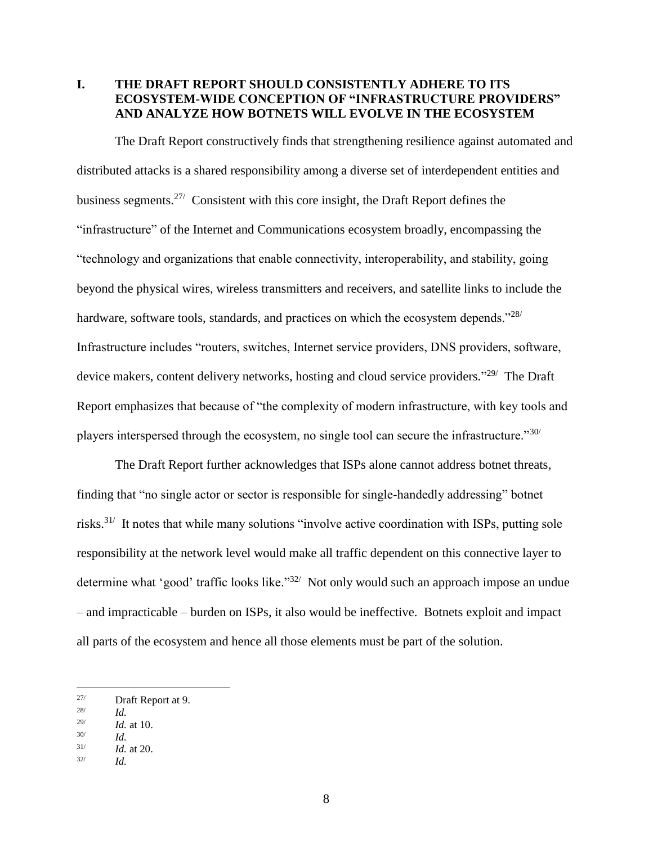### **I. THE DRAFT REPORT SHOULD CONSISTENTLY ADHERE TO ITS ECOSYSTEM-WIDE CONCEPTION OF "INFRASTRUCTURE PROVIDERS" AND ANALYZE HOW BOTNETS WILL EVOLVE IN THE ECOSYSTEM**

The Draft Report constructively finds that strengthening resilience against automated and distributed attacks is a shared responsibility among a diverse set of interdependent entities and business segments.<sup>27/</sup> Consistent with this core insight, the Draft Report defines the "infrastructure" of the Internet and Communications ecosystem broadly, encompassing the "technology and organizations that enable connectivity, interoperability, and stability, going beyond the physical wires, wireless transmitters and receivers, and satellite links to include the hardware, software tools, standards, and practices on which the ecosystem depends."<sup>28/</sup> Infrastructure includes "routers, switches, Internet service providers, DNS providers, software, device makers, content delivery networks, hosting and cloud service providers."<sup>29/</sup> The Draft Report emphasizes that because of "the complexity of modern infrastructure, with key tools and players interspersed through the ecosystem, no single tool can secure the infrastructure."30/

The Draft Report further acknowledges that ISPs alone cannot address botnet threats, finding that "no single actor or sector is responsible for single-handedly addressing" botnet risks.<sup>31/</sup> It notes that while many solutions "involve active coordination with ISPs, putting sole responsibility at the network level would make all traffic dependent on this connective layer to determine what 'good' traffic looks like."<sup>32/</sup> Not only would such an approach impose an undue – and impracticable – burden on ISPs, it also would be ineffective. Botnets exploit and impact all parts of the ecosystem and hence all those elements must be part of the solution.

 $27/$ Draft Report at 9.

<sup>28/</sup> *Id.*

<sup>29/</sup> *Id.* at 10. 30/

*Id.* 31/

*Id.* at 20. 32/ *Id.*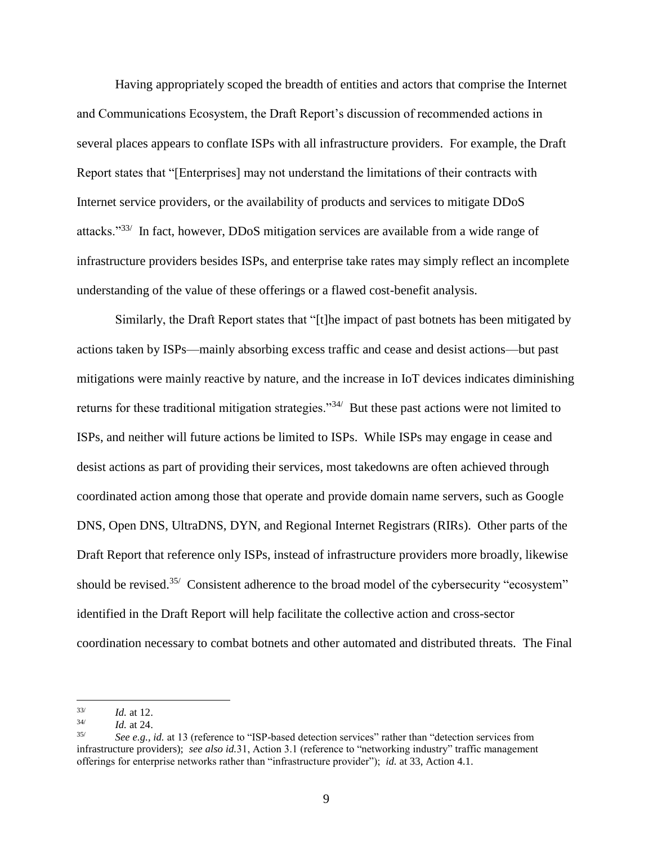Having appropriately scoped the breadth of entities and actors that comprise the Internet and Communications Ecosystem, the Draft Report's discussion of recommended actions in several places appears to conflate ISPs with all infrastructure providers. For example, the Draft Report states that "[Enterprises] may not understand the limitations of their contracts with Internet service providers, or the availability of products and services to mitigate DDoS attacks."<sup>33/</sup> In fact, however, DDoS mitigation services are available from a wide range of infrastructure providers besides ISPs, and enterprise take rates may simply reflect an incomplete understanding of the value of these offerings or a flawed cost-benefit analysis.

Similarly, the Draft Report states that "[t]he impact of past botnets has been mitigated by actions taken by ISPs—mainly absorbing excess traffic and cease and desist actions—but past mitigations were mainly reactive by nature, and the increase in IoT devices indicates diminishing returns for these traditional mitigation strategies."<sup>34</sup> But these past actions were not limited to ISPs, and neither will future actions be limited to ISPs. While ISPs may engage in cease and desist actions as part of providing their services, most takedowns are often achieved through coordinated action among those that operate and provide domain name servers, such as Google DNS, Open DNS, UltraDNS, DYN, and Regional Internet Registrars (RIRs). Other parts of the Draft Report that reference only ISPs, instead of infrastructure providers more broadly, likewise should be revised.<sup>35/</sup> Consistent adherence to the broad model of the cybersecurity "ecosystem" identified in the Draft Report will help facilitate the collective action and cross-sector coordination necessary to combat botnets and other automated and distributed threats. The Final

<sup>33/</sup> *Id.* at 12.

<sup>34/</sup> *Id.* at 24.

<sup>35/</sup> *See e.g., id.* at 13 (reference to "ISP-based detection services" rather than "detection services from infrastructure providers); *see also id.*31, Action 3.1 (reference to "networking industry" traffic management offerings for enterprise networks rather than "infrastructure provider"); *id.* at 33, Action 4.1.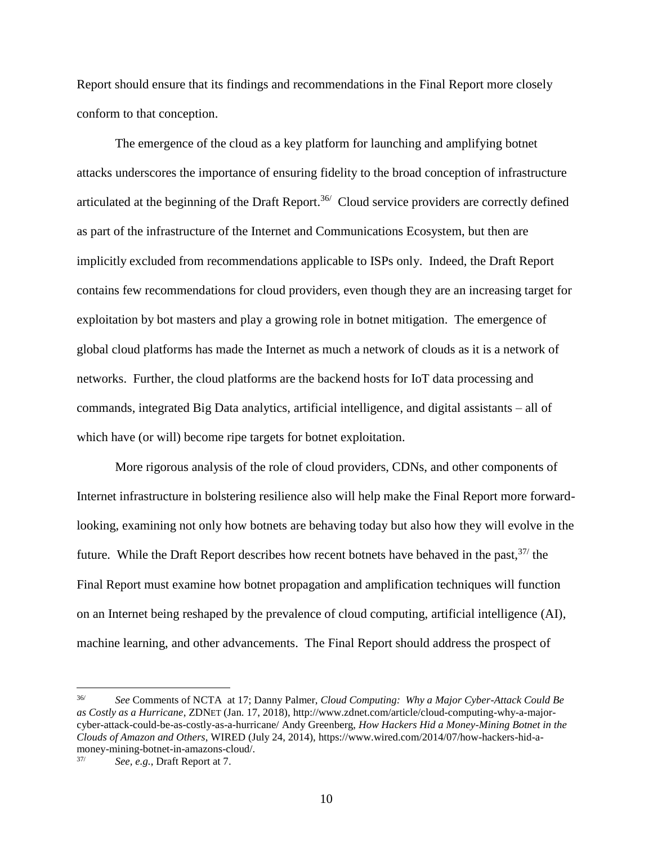Report should ensure that its findings and recommendations in the Final Report more closely conform to that conception.

The emergence of the cloud as a key platform for launching and amplifying botnet attacks underscores the importance of ensuring fidelity to the broad conception of infrastructure articulated at the beginning of the Draft Report.<sup>36/</sup> Cloud service providers are correctly defined as part of the infrastructure of the Internet and Communications Ecosystem, but then are implicitly excluded from recommendations applicable to ISPs only. Indeed, the Draft Report contains few recommendations for cloud providers, even though they are an increasing target for exploitation by bot masters and play a growing role in botnet mitigation. The emergence of global cloud platforms has made the Internet as much a network of clouds as it is a network of networks. Further, the cloud platforms are the backend hosts for IoT data processing and commands, integrated Big Data analytics, artificial intelligence, and digital assistants – all of which have (or will) become ripe targets for botnet exploitation.

More rigorous analysis of the role of cloud providers, CDNs, and other components of Internet infrastructure in bolstering resilience also will help make the Final Report more forwardlooking, examining not only how botnets are behaving today but also how they will evolve in the future. While the Draft Report describes how recent botnets have behaved in the past,  $37/$  the Final Report must examine how botnet propagation and amplification techniques will function on an Internet being reshaped by the prevalence of cloud computing, artificial intelligence (AI), machine learning, and other advancements. The Final Report should address the prospect of

 $36/$ 36/ *See* Comments of NCTA at 17; Danny Palmer, *Cloud Computing: Why a Major Cyber-Attack Could Be as Costly as a Hurricane*, ZDNET (Jan. 17, 2018), http://www.zdnet.com/article/cloud-computing-why-a-majorcyber-attack-could-be-as-costly-as-a-hurricane/ Andy Greenberg, *How Hackers Hid a Money-Mining Botnet in the Clouds of Amazon and Others*, WIRED (July 24, 2014), https://www.wired.com/2014/07/how-hackers-hid-amoney-mining-botnet-in-amazons-cloud/.

<sup>37/</sup> *See, e.g.*, Draft Report at 7.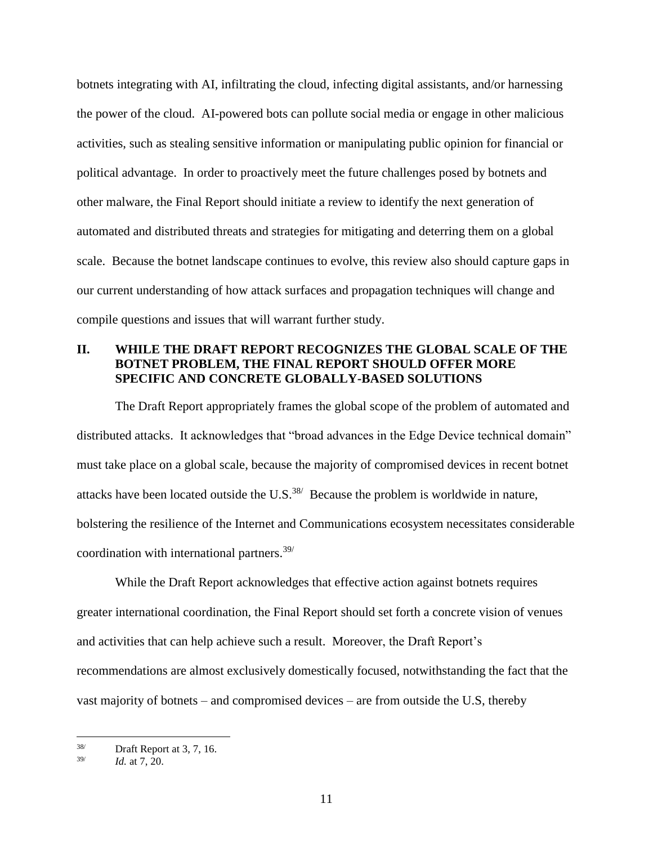botnets integrating with AI, infiltrating the cloud, infecting digital assistants, and/or harnessing the power of the cloud. AI-powered bots can pollute social media or engage in other malicious activities, such as stealing sensitive information or manipulating public opinion for financial or political advantage. In order to proactively meet the future challenges posed by botnets and other malware, the Final Report should initiate a review to identify the next generation of automated and distributed threats and strategies for mitigating and deterring them on a global scale. Because the botnet landscape continues to evolve, this review also should capture gaps in our current understanding of how attack surfaces and propagation techniques will change and compile questions and issues that will warrant further study.

### **II. WHILE THE DRAFT REPORT RECOGNIZES THE GLOBAL SCALE OF THE BOTNET PROBLEM, THE FINAL REPORT SHOULD OFFER MORE SPECIFIC AND CONCRETE GLOBALLY-BASED SOLUTIONS**

The Draft Report appropriately frames the global scope of the problem of automated and distributed attacks. It acknowledges that "broad advances in the Edge Device technical domain" must take place on a global scale, because the majority of compromised devices in recent botnet attacks have been located outside the U.S. $^{38/}$  Because the problem is worldwide in nature, bolstering the resilience of the Internet and Communications ecosystem necessitates considerable coordination with international partners.39/

While the Draft Report acknowledges that effective action against botnets requires greater international coordination, the Final Report should set forth a concrete vision of venues and activities that can help achieve such a result. Moreover, the Draft Report's recommendations are almost exclusively domestically focused, notwithstanding the fact that the vast majority of botnets – and compromised devices – are from outside the U.S, thereby

<sup>38/</sup> Draft Report at 3, 7, 16.

<sup>39/</sup> *Id.* at 7, 20.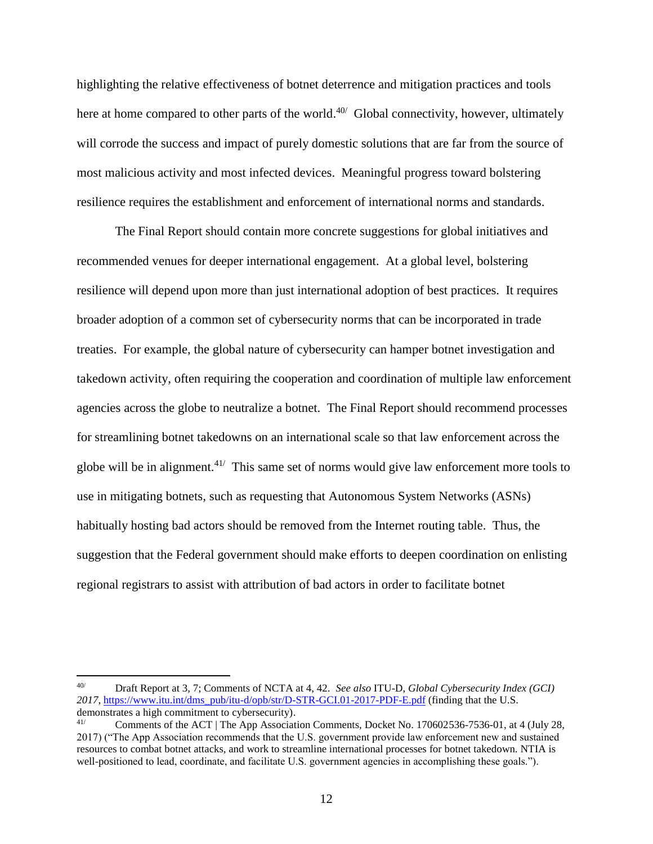highlighting the relative effectiveness of botnet deterrence and mitigation practices and tools here at home compared to other parts of the world.<sup>40/</sup> Global connectivity, however, ultimately will corrode the success and impact of purely domestic solutions that are far from the source of most malicious activity and most infected devices. Meaningful progress toward bolstering resilience requires the establishment and enforcement of international norms and standards.

The Final Report should contain more concrete suggestions for global initiatives and recommended venues for deeper international engagement. At a global level, bolstering resilience will depend upon more than just international adoption of best practices. It requires broader adoption of a common set of cybersecurity norms that can be incorporated in trade treaties. For example, the global nature of cybersecurity can hamper botnet investigation and takedown activity, often requiring the cooperation and coordination of multiple law enforcement agencies across the globe to neutralize a botnet. The Final Report should recommend processes for streamlining botnet takedowns on an international scale so that law enforcement across the globe will be in alignment.<sup>41/</sup> This same set of norms would give law enforcement more tools to use in mitigating botnets, such as requesting that Autonomous System Networks (ASNs) habitually hosting bad actors should be removed from the Internet routing table. Thus, the suggestion that the Federal government should make efforts to deepen coordination on enlisting regional registrars to assist with attribution of bad actors in order to facilitate botnet

<sup>40/</sup> Draft Report at 3, 7; Comments of NCTA at 4, 42. *See also* ITU-D, *Global Cybersecurity Index (GCI) 2017*, https://www.itu.int/dms\_pub/itu-d/opb/str/D-STR-GCI.01-2017-PDF-E.pdf (finding that the U.S. demonstrates a high commitment to cybersecurity).

<sup>&</sup>lt;sup>41/</sup> Comments of the ACT | The App Association Comments, Docket No. 170602536-7536-01, at 4 (July 28, 2017) ("The App Association recommends that the U.S. government provide law enforcement new and sustained resources to combat botnet attacks, and work to streamline international processes for botnet takedown. NTIA is well-positioned to lead, coordinate, and facilitate U.S. government agencies in accomplishing these goals.").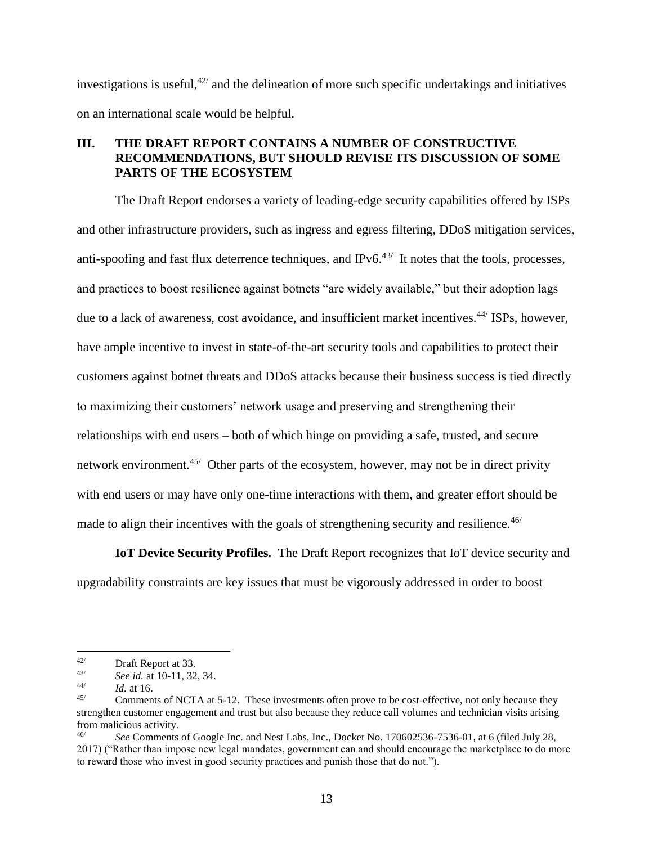investigations is useful,  $42/$  and the delineation of more such specific undertakings and initiatives on an international scale would be helpful.

### **III. THE DRAFT REPORT CONTAINS A NUMBER OF CONSTRUCTIVE RECOMMENDATIONS, BUT SHOULD REVISE ITS DISCUSSION OF SOME PARTS OF THE ECOSYSTEM**

The Draft Report endorses a variety of leading-edge security capabilities offered by ISPs and other infrastructure providers, such as ingress and egress filtering, DDoS mitigation services, anti-spoofing and fast flux deterrence techniques, and IPv6.<sup>43/</sup> It notes that the tools, processes, and practices to boost resilience against botnets "are widely available," but their adoption lags due to a lack of awareness, cost avoidance, and insufficient market incentives.<sup>44/</sup> ISPs, however, have ample incentive to invest in state-of-the-art security tools and capabilities to protect their customers against botnet threats and DDoS attacks because their business success is tied directly to maximizing their customers' network usage and preserving and strengthening their relationships with end users – both of which hinge on providing a safe, trusted, and secure network environment.<sup>45/</sup> Other parts of the ecosystem, however, may not be in direct privity with end users or may have only one-time interactions with them, and greater effort should be made to align their incentives with the goals of strengthening security and resilience.  $46/$ 

**IoT Device Security Profiles.** The Draft Report recognizes that IoT device security and upgradability constraints are key issues that must be vigorously addressed in order to boost

 $42/$  $\frac{42}{43}$  Draft Report at 33.

<sup>43/</sup> *See id.* at 10-11, 32, 34.

<sup>44/</sup> *Id.* at 16.

<sup>45/</sup> Comments of NCTA at 5-12. These investments often prove to be cost-effective, not only because they strengthen customer engagement and trust but also because they reduce call volumes and technician visits arising from malicious activity.

<sup>46/</sup> *See* Comments of Google Inc. and Nest Labs, Inc., Docket No. 170602536-7536-01, at 6 (filed July 28, 2017) ("Rather than impose new legal mandates, government can and should encourage the marketplace to do more to reward those who invest in good security practices and punish those that do not.").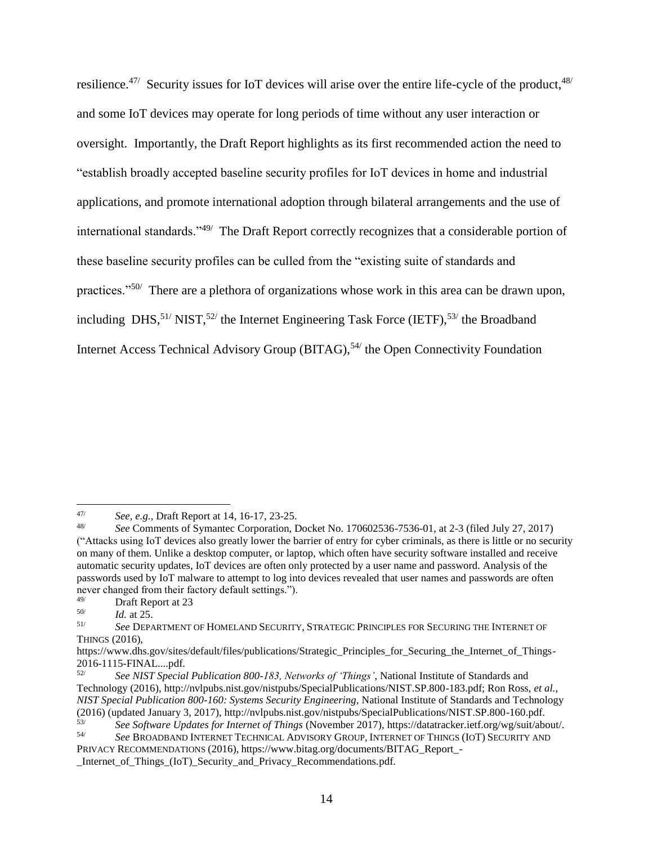resilience.<sup>47/</sup> Security issues for IoT devices will arise over the entire life-cycle of the product, <sup>48/</sup> and some IoT devices may operate for long periods of time without any user interaction or oversight. Importantly, the Draft Report highlights as its first recommended action the need to "establish broadly accepted baseline security profiles for IoT devices in home and industrial applications, and promote international adoption through bilateral arrangements and the use of international standards."<sup>49/</sup> The Draft Report correctly recognizes that a considerable portion of these baseline security profiles can be culled from the "existing suite of standards and practices."<sup>50/</sup> There are a plethora of organizations whose work in this area can be drawn upon, including  $\text{DHS},^{51} \text{NIST},^{52}$  the Internet Engineering Task Force (IETF),  $^{53}$  the Broadband Internet Access Technical Advisory Group (BITAG),<sup>54/</sup> the Open Connectivity Foundation

<sup>47/</sup> *See, e.g.*, Draft Report at 14, 16-17, 23-25.

<sup>48/</sup> *See* Comments of Symantec Corporation, Docket No. 170602536-7536-01, at 2-3 (filed July 27, 2017) ("Attacks using IoT devices also greatly lower the barrier of entry for cyber criminals, as there is little or no security on many of them. Unlike a desktop computer, or laptop, which often have security software installed and receive automatic security updates, IoT devices are often only protected by a user name and password. Analysis of the passwords used by IoT malware to attempt to log into devices revealed that user names and passwords are often never changed from their factory default settings.").<br><sup>49/</sup> Draft Report at 23

Draft Report at 23

<sup>50/</sup> *Id.* at 25.

<sup>51/</sup> *See* DEPARTMENT OF HOMELAND SECURITY, STRATEGIC PRINCIPLES FOR SECURING THE INTERNET OF THINGS (2016),

https://www.dhs.gov/sites/default/files/publications/Strategic\_Principles\_for\_Securing\_the\_Internet\_of\_Things- $2016-1115$ -FINAL....pdf.<br> $52/$ 

<sup>52/</sup> *See NIST Special Publication 800-183, Networks of 'Things'*, National Institute of Standards and Technology (2016), http://nvlpubs.nist.gov/nistpubs/SpecialPublications/NIST.SP.800-183.pdf; Ron Ross, *et al.*, *NIST Special Publication 800-160: Systems Security Engineering,* National Institute of Standards and Technology (2016) (updated January 3, 2017), http://nvlpubs.nist.gov/nistpubs/SpecialPublications/NIST.SP.800-160.pdf.<br>
S<sup>3/</sup><br>
See Software Undates for Internet of Things (November 2017), https://datatracker.jetf.org/wg/suit/abo

<sup>53/</sup> *See Software Updates for Internet of Things* (November 2017), https://datatracker.ietf.org/wg/suit/about/. 54/ *See* BROADBAND INTERNET TECHNICAL ADVISORY GROUP, INTERNET OF THINGS (IOT) SECURITY AND

PRIVACY RECOMMENDATIONS (2016), https://www.bitag.org/documents/BITAG\_Report\_- \_Internet\_of\_Things\_(IoT)\_Security\_and\_Privacy\_Recommendations.pdf.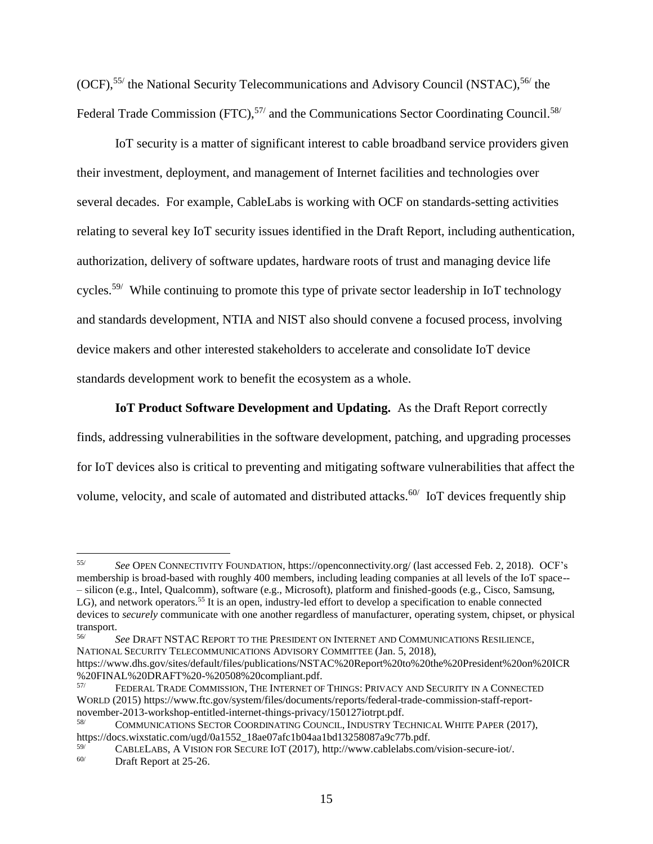(OCF),<sup>55/</sup> the National Security Telecommunications and Advisory Council (NSTAC),<sup>56/</sup> the Federal Trade Commission (FTC),<sup>57/</sup> and the Communications Sector Coordinating Council.<sup>58/</sup>

IoT security is a matter of significant interest to cable broadband service providers given their investment, deployment, and management of Internet facilities and technologies over several decades. For example, CableLabs is working with OCF on standards-setting activities relating to several key IoT security issues identified in the Draft Report, including authentication, authorization, delivery of software updates, hardware roots of trust and managing device life cycles.<sup>59/</sup> While continuing to promote this type of private sector leadership in IoT technology and standards development, NTIA and NIST also should convene a focused process, involving device makers and other interested stakeholders to accelerate and consolidate IoT device standards development work to benefit the ecosystem as a whole.

### **IoT Product Software Development and Updating.** As the Draft Report correctly

finds, addressing vulnerabilities in the software development, patching, and upgrading processes for IoT devices also is critical to preventing and mitigating software vulnerabilities that affect the volume, velocity, and scale of automated and distributed attacks.<sup>60/</sup> IoT devices frequently ship

 $55/$ 55/ *See* OPEN CONNECTIVITY FOUNDATION, https://openconnectivity.org/ (last accessed Feb. 2, 2018). OCF's membership is broad-based with roughly 400 members, including leading companies at all levels of the IoT space-- – silicon (e.g., Intel, Qualcomm), software (e.g., Microsoft), platform and finished-goods (e.g., Cisco, Samsung, LG), and network operators.<sup>55</sup> It is an open, industry-led effort to develop a specification to enable connected devices to *securely* communicate with one another regardless of manufacturer, operating system, chipset, or physical transport.

<sup>56/</sup> *See* DRAFT NSTAC REPORT TO THE PRESIDENT ON INTERNET AND COMMUNICATIONS RESILIENCE, NATIONAL SECURITY TELECOMMUNICATIONS ADVISORY COMMITTEE (Jan. 5, 2018), https://www.dhs.gov/sites/default/files/publications/NSTAC%20Report%20to%20the%20President%20on%20ICR

<sup>%20</sup>FINAL%20DRAFT%20-%20508%20compliant.pdf.

FEDERAL TRADE COMMISSION, THE INTERNET OF THINGS: PRIVACY AND SECURITY IN A CONNECTED WORLD (2015) https://www.ftc.gov/system/files/documents/reports/federal-trade-commission-staff-reportnovember-2013-workshop-entitled-internet-things-privacy/150127iotrpt.pdf.

<sup>58/</sup> COMMUNICATIONS SECTOR COORDINATING COUNCIL, INDUSTRY TECHNICAL WHITE PAPER (2017), https://docs.wixstatic.com/ugd/0a1552\_18ae07afc1b04aa1bd13258087a9c77b.pdf.

 $^{59/}$  CABLELABS, A VISION FOR SECURE IOT (2017), http://www.cablelabs.com/vision-secure-iot/.<br>
Draft Report at 25.26 Draft Report at 25-26.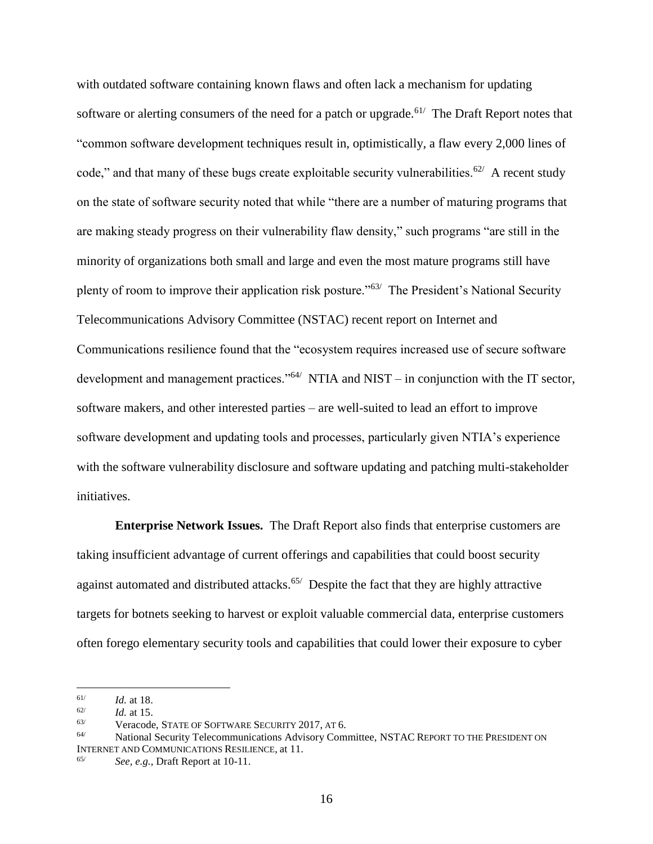with outdated software containing known flaws and often lack a mechanism for updating software or alerting consumers of the need for a patch or upgrade.<sup> $61/$ </sup> The Draft Report notes that "common software development techniques result in, optimistically, a flaw every 2,000 lines of code," and that many of these bugs create exploitable security vulnerabilities.<sup>62/</sup> A recent study on the state of software security noted that while "there are a number of maturing programs that are making steady progress on their vulnerability flaw density," such programs "are still in the minority of organizations both small and large and even the most mature programs still have plenty of room to improve their application risk posture."<sup>63/</sup> The President's National Security Telecommunications Advisory Committee (NSTAC) recent report on Internet and Communications resilience found that the "ecosystem requires increased use of secure software development and management practices."<sup>64/</sup> NTIA and NIST – in conjunction with the IT sector, software makers, and other interested parties – are well-suited to lead an effort to improve software development and updating tools and processes, particularly given NTIA's experience with the software vulnerability disclosure and software updating and patching multi-stakeholder initiatives.

**Enterprise Network Issues.** The Draft Report also finds that enterprise customers are taking insufficient advantage of current offerings and capabilities that could boost security against automated and distributed attacks.<sup>65/</sup> Despite the fact that they are highly attractive targets for botnets seeking to harvest or exploit valuable commercial data, enterprise customers often forego elementary security tools and capabilities that could lower their exposure to cyber

<sup>61/</sup> *Id.* at 18.

<sup>62/</sup> *Id.* at 15.

<sup>63/</sup> Veracode, STATE OF SOFTWARE SECURITY 2017, AT 6.

<sup>64/</sup> National Security Telecommunications Advisory Committee, NSTAC REPORT TO THE PRESIDENT ON INTERNET AND COMMUNICATIONS RESILIENCE, at 11.

See, e.g., Draft Report at 10-11.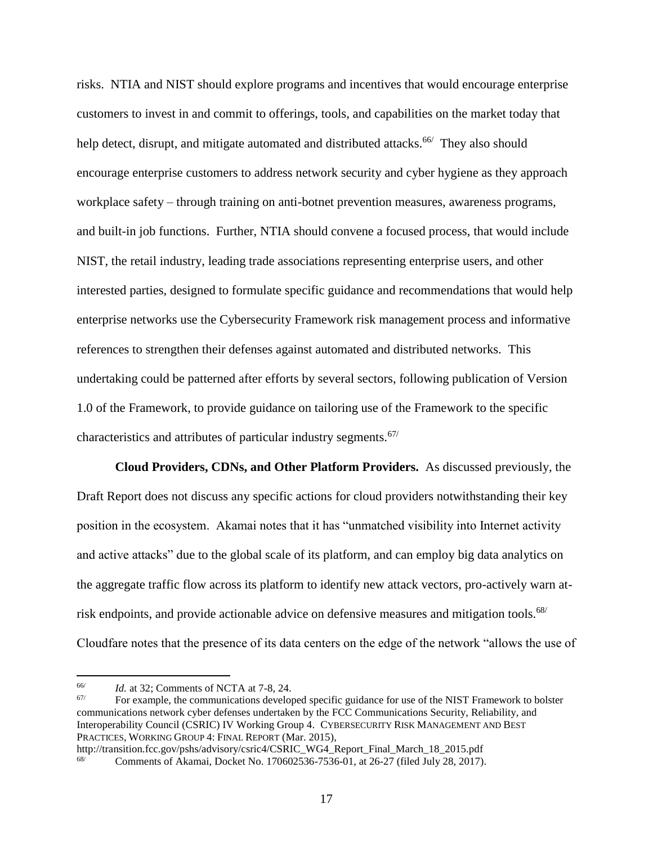risks. NTIA and NIST should explore programs and incentives that would encourage enterprise customers to invest in and commit to offerings, tools, and capabilities on the market today that help detect, disrupt, and mitigate automated and distributed attacks.<sup>66/</sup> They also should encourage enterprise customers to address network security and cyber hygiene as they approach workplace safety – through training on anti-botnet prevention measures, awareness programs, and built-in job functions. Further, NTIA should convene a focused process, that would include NIST, the retail industry, leading trade associations representing enterprise users, and other interested parties, designed to formulate specific guidance and recommendations that would help enterprise networks use the Cybersecurity Framework risk management process and informative references to strengthen their defenses against automated and distributed networks. This undertaking could be patterned after efforts by several sectors, following publication of Version 1.0 of the Framework, to provide guidance on tailoring use of the Framework to the specific characteristics and attributes of particular industry segments.<sup>67/</sup>

**Cloud Providers, CDNs, and Other Platform Providers.** As discussed previously, the Draft Report does not discuss any specific actions for cloud providers notwithstanding their key position in the ecosystem. Akamai notes that it has "unmatched visibility into Internet activity and active attacks" due to the global scale of its platform, and can employ big data analytics on the aggregate traffic flow across its platform to identify new attack vectors, pro-actively warn atrisk endpoints, and provide actionable advice on defensive measures and mitigation tools.<sup>68/</sup> Cloudfare notes that the presence of its data centers on the edge of the network "allows the use of

 $\overline{a}$ 

<sup>67/</sup> For example, the communications developed specific guidance for use of the NIST Framework to bolster communications network cyber defenses undertaken by the FCC Communications Security, Reliability, and Interoperability Council (CSRIC) IV Working Group 4. CYBERSECURITY RISK MANAGEMENT AND BEST PRACTICES, WORKING GROUP 4: FINAL REPORT (Mar. 2015),

<sup>66/</sup> *Id.* at 32; Comments of NCTA at 7-8, 24.

http://transition.fcc.gov/pshs/advisory/csric4/CSRIC\_WG4\_Report\_Final\_March\_18\_2015.pdf

<sup>&</sup>lt;sup>68/</sup> Comments of Akamai, Docket No. 170602536-7536-01, at 26-27 (filed July 28, 2017).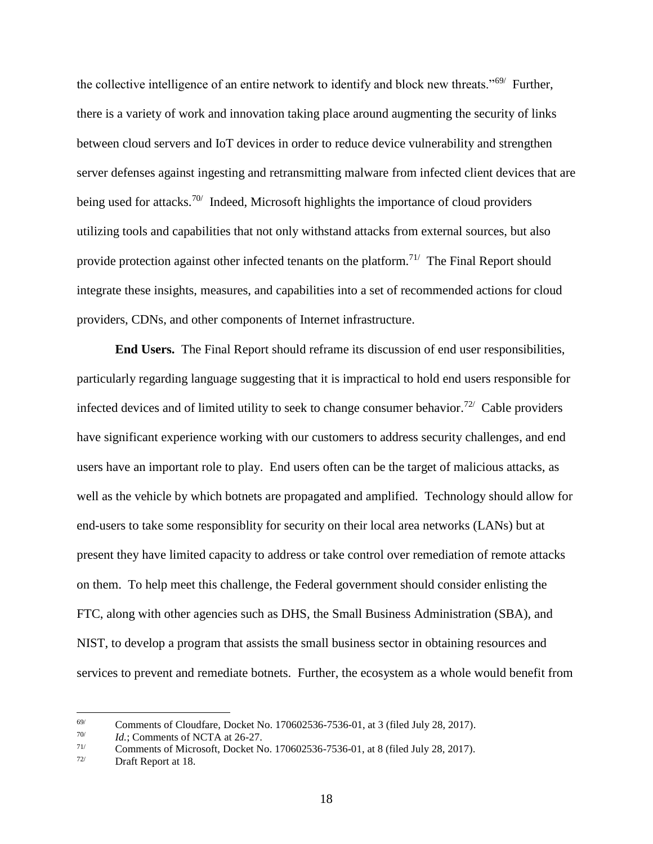the collective intelligence of an entire network to identify and block new threats."<sup>69/</sup> Further, there is a variety of work and innovation taking place around augmenting the security of links between cloud servers and IoT devices in order to reduce device vulnerability and strengthen server defenses against ingesting and retransmitting malware from infected client devices that are being used for attacks.<sup>70/</sup> Indeed, Microsoft highlights the importance of cloud providers utilizing tools and capabilities that not only withstand attacks from external sources, but also provide protection against other infected tenants on the platform.<sup>71/</sup> The Final Report should integrate these insights, measures, and capabilities into a set of recommended actions for cloud providers, CDNs, and other components of Internet infrastructure.

**End Users.** The Final Report should reframe its discussion of end user responsibilities, particularly regarding language suggesting that it is impractical to hold end users responsible for infected devices and of limited utility to seek to change consumer behavior.<sup>72/</sup> Cable providers have significant experience working with our customers to address security challenges, and end users have an important role to play. End users often can be the target of malicious attacks, as well as the vehicle by which botnets are propagated and amplified. Technology should allow for end-users to take some responsiblity for security on their local area networks (LANs) but at present they have limited capacity to address or take control over remediation of remote attacks on them. To help meet this challenge, the Federal government should consider enlisting the FTC, along with other agencies such as DHS, the Small Business Administration (SBA), and NIST, to develop a program that assists the small business sector in obtaining resources and services to prevent and remediate botnets. Further, the ecosystem as a whole would benefit from

 $^{69/}$  Comments of Cloudfare, Docket No. 170602536-7536-01, at 3 (filed July 28, 2017).

<sup>70/</sup> *Id.*; Comments of NCTA at 26-27.

 $\frac{71}{72}$  Comments of Microsoft, Docket No. 170602536-7536-01, at 8 (filed July 28, 2017).<br>Draft Report at 18

Draft Report at 18.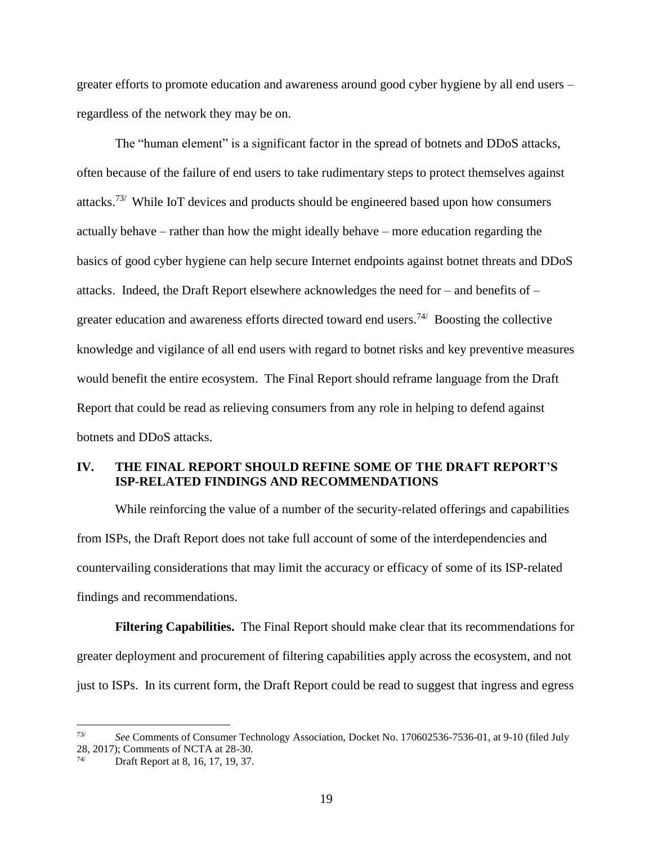greater efforts to promote education and awareness around good cyber hygiene by all end users – regardless of the network they may be on.

The "human element" is a significant factor in the spread of botnets and DDoS attacks, often because of the failure of end users to take rudimentary steps to protect themselves against attacks.73/ While IoT devices and products should be engineered based upon how consumers actually behave – rather than how the might ideally behave – more education regarding the basics of good cyber hygiene can help secure Internet endpoints against botnet threats and DDoS attacks. Indeed, the Draft Report elsewhere acknowledges the need for – and benefits of – greater education and awareness efforts directed toward end users.<sup>74/</sup> Boosting the collective knowledge and vigilance of all end users with regard to botnet risks and key preventive measures would benefit the entire ecosystem. The Final Report should reframe language from the Draft Report that could be read as relieving consumers from any role in helping to defend against botnets and DDoS attacks.

#### **IV. THE FINAL REPORT SHOULD REFINE SOME OF THE DRAFT REPORT'S ISP-RELATED FINDINGS AND RECOMMENDATIONS**

While reinforcing the value of a number of the security-related offerings and capabilities from ISPs, the Draft Report does not take full account of some of the interdependencies and countervailing considerations that may limit the accuracy or efficacy of some of its ISP-related findings and recommendations.

**Filtering Capabilities.** The Final Report should make clear that its recommendations for greater deployment and procurement of filtering capabilities apply across the ecosystem, and not just to ISPs. In its current form, the Draft Report could be read to suggest that ingress and egress

<sup>73/</sup> *See* Comments of Consumer Technology Association, Docket No. 170602536-7536-01, at 9-10 (filed July 28, 2017); Comments of NCTA at 28-30.

Draft Report at 8, 16, 17, 19, 37.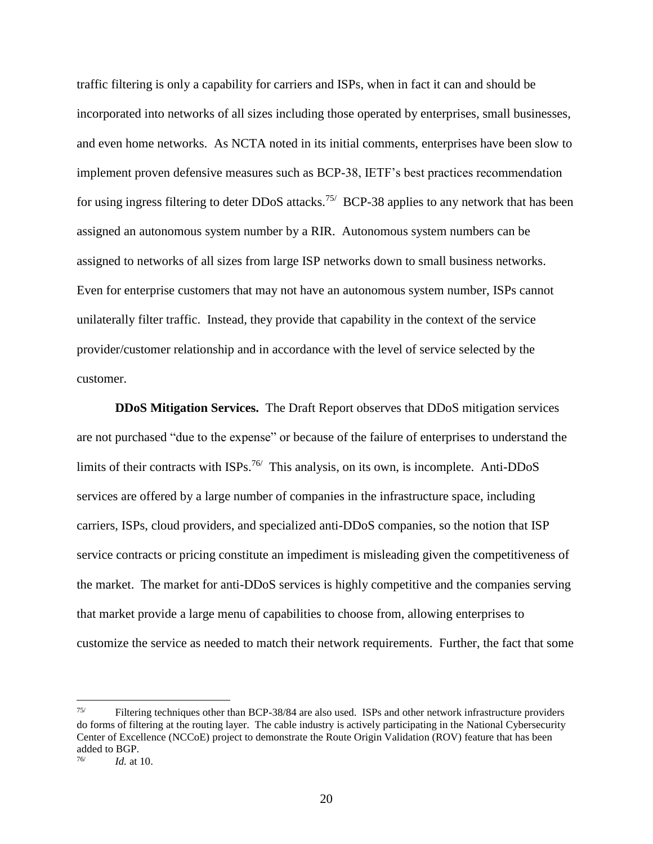traffic filtering is only a capability for carriers and ISPs, when in fact it can and should be incorporated into networks of all sizes including those operated by enterprises, small businesses, and even home networks. As NCTA noted in its initial comments, enterprises have been slow to implement proven defensive measures such as BCP-38, IETF's best practices recommendation for using ingress filtering to deter DDoS attacks.<sup>75/</sup> BCP-38 applies to any network that has been assigned an autonomous system number by a RIR. Autonomous system numbers can be assigned to networks of all sizes from large ISP networks down to small business networks. Even for enterprise customers that may not have an autonomous system number, ISPs cannot unilaterally filter traffic. Instead, they provide that capability in the context of the service provider/customer relationship and in accordance with the level of service selected by the customer.

**DDoS Mitigation Services.** The Draft Report observes that DDoS mitigation services are not purchased "due to the expense" or because of the failure of enterprises to understand the limits of their contracts with  $ISPs^{76/}$  This analysis, on its own, is incomplete. Anti-DDoS services are offered by a large number of companies in the infrastructure space, including carriers, ISPs, cloud providers, and specialized anti-DDoS companies, so the notion that ISP service contracts or pricing constitute an impediment is misleading given the competitiveness of the market. The market for anti-DDoS services is highly competitive and the companies serving that market provide a large menu of capabilities to choose from, allowing enterprises to customize the service as needed to match their network requirements. Further, the fact that some

<sup>75/</sup> Filtering techniques other than BCP-38/84 are also used. ISPs and other network infrastructure providers do forms of filtering at the routing layer. The cable industry is actively participating in the National Cybersecurity Center of Excellence (NCCoE) project to demonstrate the Route Origin Validation (ROV) feature that has been added to BGP.

<sup>76/</sup> *Id.* at 10.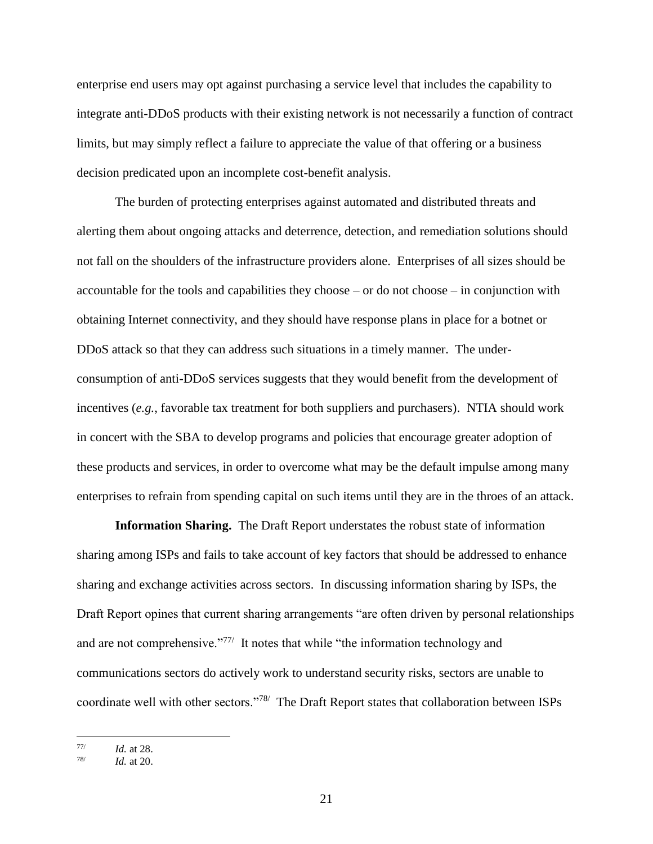enterprise end users may opt against purchasing a service level that includes the capability to integrate anti-DDoS products with their existing network is not necessarily a function of contract limits, but may simply reflect a failure to appreciate the value of that offering or a business decision predicated upon an incomplete cost-benefit analysis.

The burden of protecting enterprises against automated and distributed threats and alerting them about ongoing attacks and deterrence, detection, and remediation solutions should not fall on the shoulders of the infrastructure providers alone. Enterprises of all sizes should be accountable for the tools and capabilities they choose – or do not choose – in conjunction with obtaining Internet connectivity, and they should have response plans in place for a botnet or DDoS attack so that they can address such situations in a timely manner. The underconsumption of anti-DDoS services suggests that they would benefit from the development of incentives (*e.g.*, favorable tax treatment for both suppliers and purchasers). NTIA should work in concert with the SBA to develop programs and policies that encourage greater adoption of these products and services, in order to overcome what may be the default impulse among many enterprises to refrain from spending capital on such items until they are in the throes of an attack.

**Information Sharing.** The Draft Report understates the robust state of information sharing among ISPs and fails to take account of key factors that should be addressed to enhance sharing and exchange activities across sectors. In discussing information sharing by ISPs, the Draft Report opines that current sharing arrangements "are often driven by personal relationships and are not comprehensive."<sup>77/</sup> It notes that while "the information technology and communications sectors do actively work to understand security risks, sectors are unable to coordinate well with other sectors."<sup>78</sup> The Draft Report states that collaboration between ISPs

 77/ *Id.* at 28.

<sup>78/</sup> *Id.* at 20.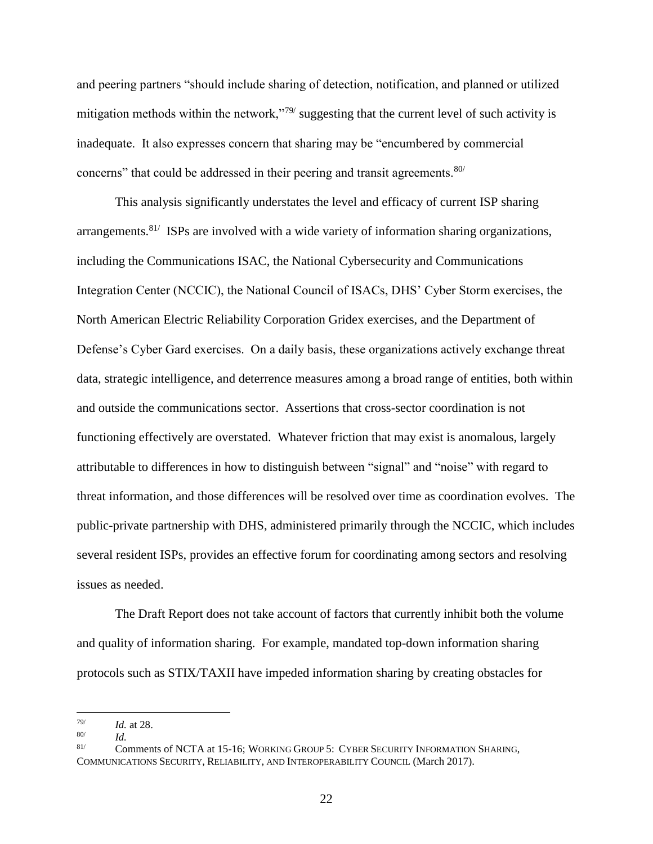and peering partners "should include sharing of detection, notification, and planned or utilized mitigation methods within the network,"<sup>79/</sup> suggesting that the current level of such activity is inadequate. It also expresses concern that sharing may be "encumbered by commercial concerns" that could be addressed in their peering and transit agreements. $80/$ 

This analysis significantly understates the level and efficacy of current ISP sharing arrangements.<sup>81/</sup> ISPs are involved with a wide variety of information sharing organizations, including the Communications ISAC, the National Cybersecurity and Communications Integration Center (NCCIC), the National Council of ISACs, DHS' Cyber Storm exercises, the North American Electric Reliability Corporation Gridex exercises, and the Department of Defense's Cyber Gard exercises. On a daily basis, these organizations actively exchange threat data, strategic intelligence, and deterrence measures among a broad range of entities, both within and outside the communications sector. Assertions that cross-sector coordination is not functioning effectively are overstated. Whatever friction that may exist is anomalous, largely attributable to differences in how to distinguish between "signal" and "noise" with regard to threat information, and those differences will be resolved over time as coordination evolves. The public-private partnership with DHS, administered primarily through the NCCIC, which includes several resident ISPs, provides an effective forum for coordinating among sectors and resolving issues as needed.

The Draft Report does not take account of factors that currently inhibit both the volume and quality of information sharing. For example, mandated top-down information sharing protocols such as STIX/TAXII have impeded information sharing by creating obstacles for

<sup>79/</sup> *Id.* at 28. *Id.*

<sup>80/</sup>

<sup>81/</sup> Comments of NCTA at 15-16; WORKING GROUP 5: CYBER SECURITY INFORMATION SHARING, COMMUNICATIONS SECURITY, RELIABILITY, AND INTEROPERABILITY COUNCIL (March 2017).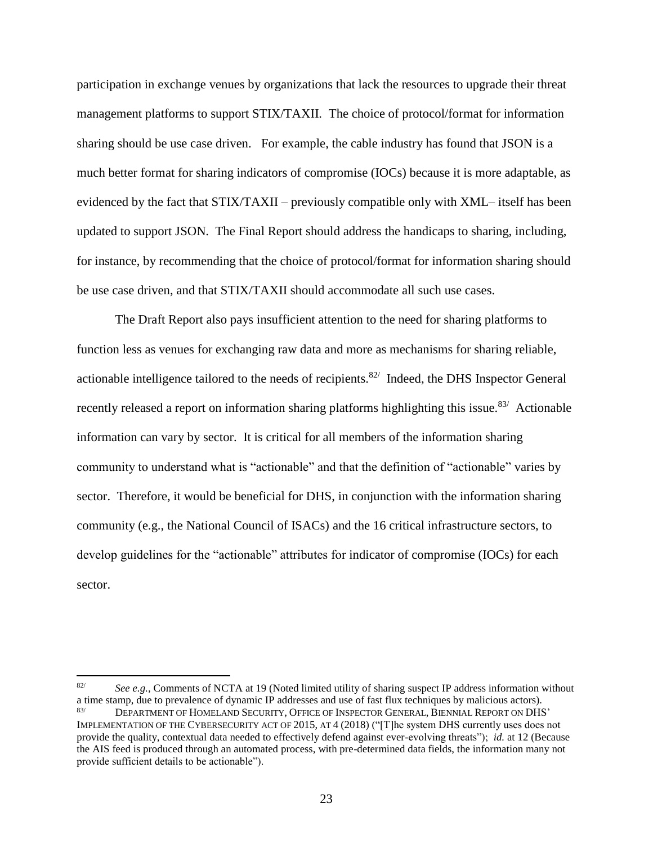participation in exchange venues by organizations that lack the resources to upgrade their threat management platforms to support STIX/TAXII. The choice of protocol/format for information sharing should be use case driven. For example, the cable industry has found that JSON is a much better format for sharing indicators of compromise (IOCs) because it is more adaptable, as evidenced by the fact that STIX/TAXII – previously compatible only with XML– itself has been updated to support JSON. The Final Report should address the handicaps to sharing, including, for instance, by recommending that the choice of protocol/format for information sharing should be use case driven, and that STIX/TAXII should accommodate all such use cases.

The Draft Report also pays insufficient attention to the need for sharing platforms to function less as venues for exchanging raw data and more as mechanisms for sharing reliable, actionable intelligence tailored to the needs of recipients.<sup>82/</sup> Indeed, the DHS Inspector General recently released a report on information sharing platforms highlighting this issue.<sup>83/</sup> Actionable information can vary by sector. It is critical for all members of the information sharing community to understand what is "actionable" and that the definition of "actionable" varies by sector. Therefore, it would be beneficial for DHS, in conjunction with the information sharing community (e.g., the National Council of ISACs) and the 16 critical infrastructure sectors, to develop guidelines for the "actionable" attributes for indicator of compromise (IOCs) for each sector.

<sup>82/</sup> *See e.g.,* Comments of NCTA at 19 (Noted limited utility of sharing suspect IP address information without a time stamp, due to prevalence of dynamic IP addresses and use of fast flux techniques by malicious actors). 83/ DEPARTMENT OF HOMELAND SECURITY, OFFICE OF INSPECTOR GENERAL, BIENNIAL REPORT ON DHS' IMPLEMENTATION OF THE CYBERSECURITY ACT OF 2015, AT 4 (2018) ("[T]he system DHS currently uses does not provide the quality, contextual data needed to effectively defend against ever-evolving threats"); *id.* at 12 (Because the AIS feed is produced through an automated process, with pre-determined data fields, the information many not provide sufficient details to be actionable").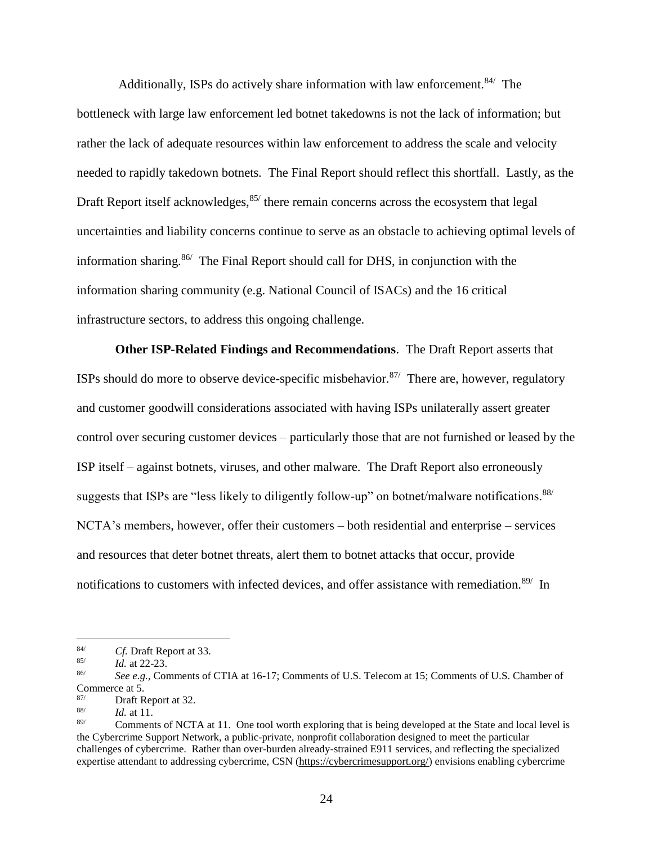Additionally, ISPs do actively share information with law enforcement.<sup>84/</sup> The bottleneck with large law enforcement led botnet takedowns is not the lack of information; but rather the lack of adequate resources within law enforcement to address the scale and velocity needed to rapidly takedown botnets*.* The Final Report should reflect this shortfall. Lastly, as the Draft Report itself acknowledges, <sup>85/</sup> there remain concerns across the ecosystem that legal uncertainties and liability concerns continue to serve as an obstacle to achieving optimal levels of information sharing.86/ The Final Report should call for DHS, in conjunction with the information sharing community (e.g. National Council of ISACs) and the 16 critical infrastructure sectors, to address this ongoing challenge.

**Other ISP-Related Findings and Recommendations**. The Draft Report asserts that ISPs should do more to observe device-specific misbehavior.<sup>87/</sup> There are, however, regulatory and customer goodwill considerations associated with having ISPs unilaterally assert greater control over securing customer devices – particularly those that are not furnished or leased by the ISP itself – against botnets, viruses, and other malware. The Draft Report also erroneously suggests that ISPs are "less likely to diligently follow-up" on botnet/malware notifications. 88/ NCTA's members, however, offer their customers – both residential and enterprise – services and resources that deter botnet threats, alert them to botnet attacks that occur, provide notifications to customers with infected devices, and offer assistance with remediation.<sup>89/</sup> In

<sup>84/</sup> *Cf.* Draft Report at 33.

<sup>85/</sup> *Id.* at 22-23.

<sup>86/</sup> *See e.g.*, Comments of CTIA at 16-17; Comments of U.S. Telecom at 15; Comments of U.S. Chamber of Commerce at 5.

<sup>87/</sup> Draft Report at 32.

<sup>88/</sup> *Id.* at 11.

<sup>89/</sup> Comments of NCTA at 11. One tool worth exploring that is being developed at the State and local level is the Cybercrime Support Network, a public-private, nonprofit collaboration designed to meet the particular challenges of cybercrime. Rather than over-burden already-strained E911 services, and reflecting the specialized expertise attendant to addressing cybercrime, CSN (https://cybercrimesupport.org/) envisions enabling cybercrime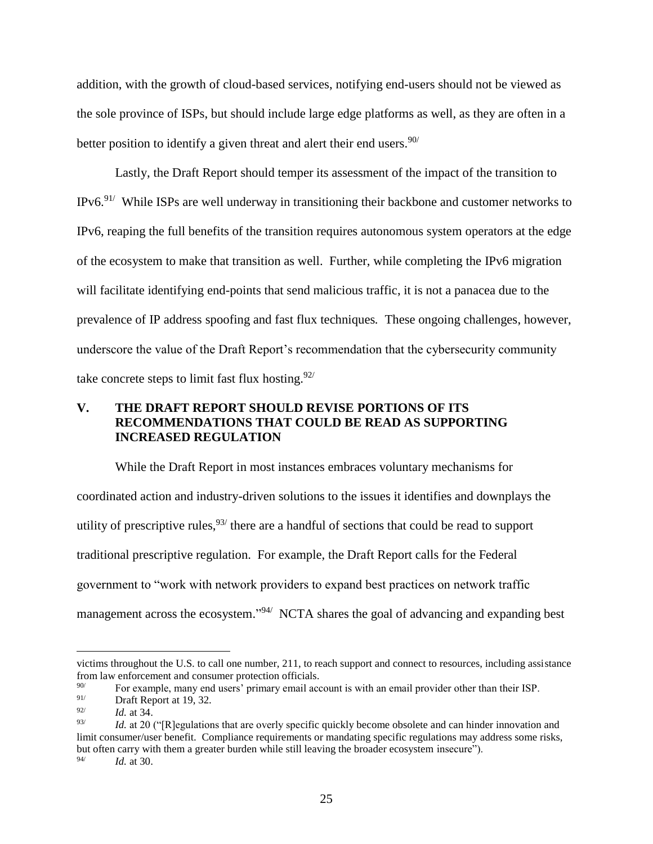addition, with the growth of cloud-based services, notifying end-users should not be viewed as the sole province of ISPs, but should include large edge platforms as well, as they are often in a better position to identify a given threat and alert their end users.<sup>90/</sup>

Lastly, the Draft Report should temper its assessment of the impact of the transition to IPv6.<sup>91/</sup> While ISPs are well underway in transitioning their backbone and customer networks to IPv6, reaping the full benefits of the transition requires autonomous system operators at the edge of the ecosystem to make that transition as well. Further, while completing the IPv6 migration will facilitate identifying end-points that send malicious traffic, it is not a panacea due to the prevalence of IP address spoofing and fast flux techniques*.* These ongoing challenges, however, underscore the value of the Draft Report's recommendation that the cybersecurity community take concrete steps to limit fast flux hosting.  $92/$ 

### **V. THE DRAFT REPORT SHOULD REVISE PORTIONS OF ITS RECOMMENDATIONS THAT COULD BE READ AS SUPPORTING INCREASED REGULATION**

While the Draft Report in most instances embraces voluntary mechanisms for coordinated action and industry-driven solutions to the issues it identifies and downplays the utility of prescriptive rules,  $93/$  there are a handful of sections that could be read to support traditional prescriptive regulation. For example, the Draft Report calls for the Federal government to "work with network providers to expand best practices on network traffic management across the ecosystem."<sup>94/</sup> NCTA shares the goal of advancing and expanding best

 $\overline{a}$ 

94/ *Id.* at 30.

victims throughout the U.S. to call one number, 211, to reach support and connect to resources, including assistance from law enforcement and consumer protection officials.

<sup>&</sup>lt;sup>90/</sup> For example, many end users' primary email account is with an email provider other than their ISP.<br>Profile Papert at 19, 32

Draft Report at 19, 32.

<sup>92/</sup> *Id.* at 34.

<sup>93/</sup> *Id.* at 20 ("[R]egulations that are overly specific quickly become obsolete and can hinder innovation and limit consumer/user benefit. Compliance requirements or mandating specific regulations may address some risks, but often carry with them a greater burden while still leaving the broader ecosystem insecure").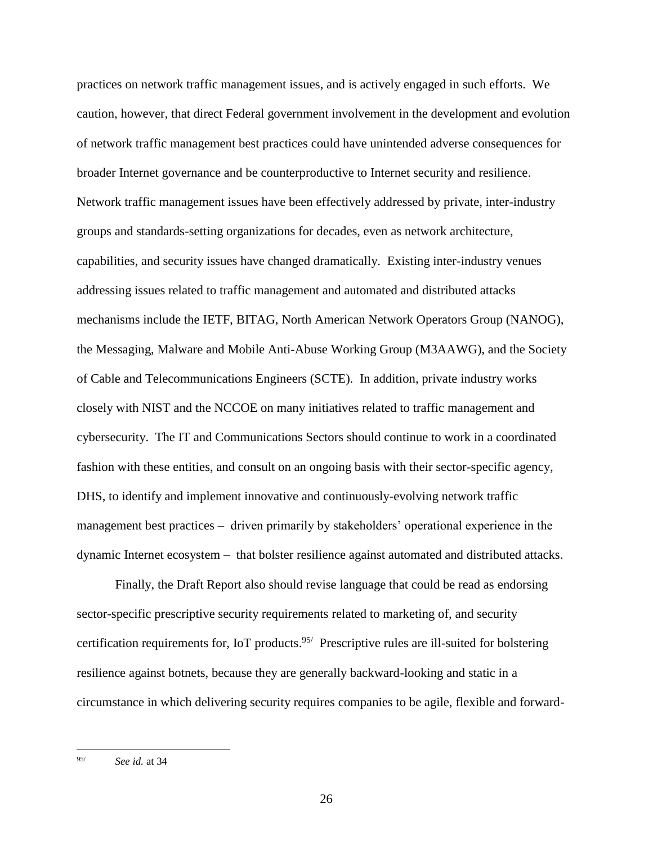practices on network traffic management issues, and is actively engaged in such efforts. We caution, however, that direct Federal government involvement in the development and evolution of network traffic management best practices could have unintended adverse consequences for broader Internet governance and be counterproductive to Internet security and resilience. Network traffic management issues have been effectively addressed by private, inter-industry groups and standards-setting organizations for decades, even as network architecture, capabilities, and security issues have changed dramatically. Existing inter-industry venues addressing issues related to traffic management and automated and distributed attacks mechanisms include the IETF, BITAG, North American Network Operators Group (NANOG), the Messaging, Malware and Mobile Anti-Abuse Working Group (M3AAWG), and the Society of Cable and Telecommunications Engineers (SCTE). In addition, private industry works closely with NIST and the NCCOE on many initiatives related to traffic management and cybersecurity. The IT and Communications Sectors should continue to work in a coordinated fashion with these entities, and consult on an ongoing basis with their sector-specific agency, DHS, to identify and implement innovative and continuously-evolving network traffic management best practices – driven primarily by stakeholders' operational experience in the dynamic Internet ecosystem – that bolster resilience against automated and distributed attacks.

Finally, the Draft Report also should revise language that could be read as endorsing sector-specific prescriptive security requirements related to marketing of, and security certification requirements for, IoT products.<sup>95/</sup> Prescriptive rules are ill-suited for bolstering resilience against botnets, because they are generally backward-looking and static in a circumstance in which delivering security requires companies to be agile, flexible and forward-

<sup>95/</sup> *See id.* at 34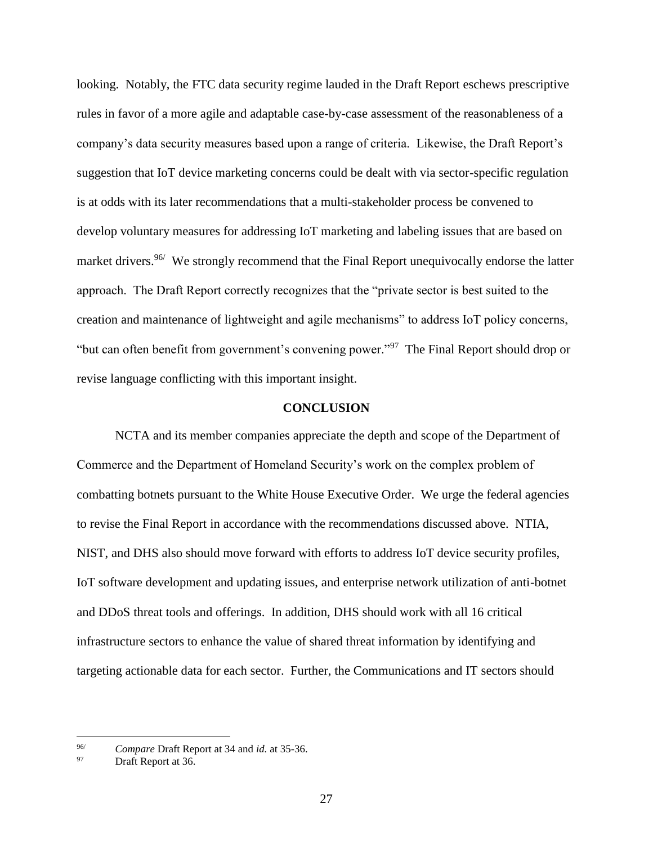looking. Notably, the FTC data security regime lauded in the Draft Report eschews prescriptive rules in favor of a more agile and adaptable case-by-case assessment of the reasonableness of a company's data security measures based upon a range of criteria. Likewise, the Draft Report's suggestion that IoT device marketing concerns could be dealt with via sector-specific regulation is at odds with its later recommendations that a multi-stakeholder process be convened to develop voluntary measures for addressing IoT marketing and labeling issues that are based on market drivers.<sup>96/</sup> We strongly recommend that the Final Report unequivocally endorse the latter approach. The Draft Report correctly recognizes that the "private sector is best suited to the creation and maintenance of lightweight and agile mechanisms" to address IoT policy concerns, "but can often benefit from government's convening power."<sup>97</sup> The Final Report should drop or revise language conflicting with this important insight.

#### **CONCLUSION**

NCTA and its member companies appreciate the depth and scope of the Department of Commerce and the Department of Homeland Security's work on the complex problem of combatting botnets pursuant to the White House Executive Order. We urge the federal agencies to revise the Final Report in accordance with the recommendations discussed above. NTIA, NIST, and DHS also should move forward with efforts to address IoT device security profiles, IoT software development and updating issues, and enterprise network utilization of anti-botnet and DDoS threat tools and offerings. In addition, DHS should work with all 16 critical infrastructure sectors to enhance the value of shared threat information by identifying and targeting actionable data for each sector. Further, the Communications and IT sectors should

<sup>96/</sup> *Compare* Draft Report at 34 and *id.* at 35-36.

Draft Report at 36.